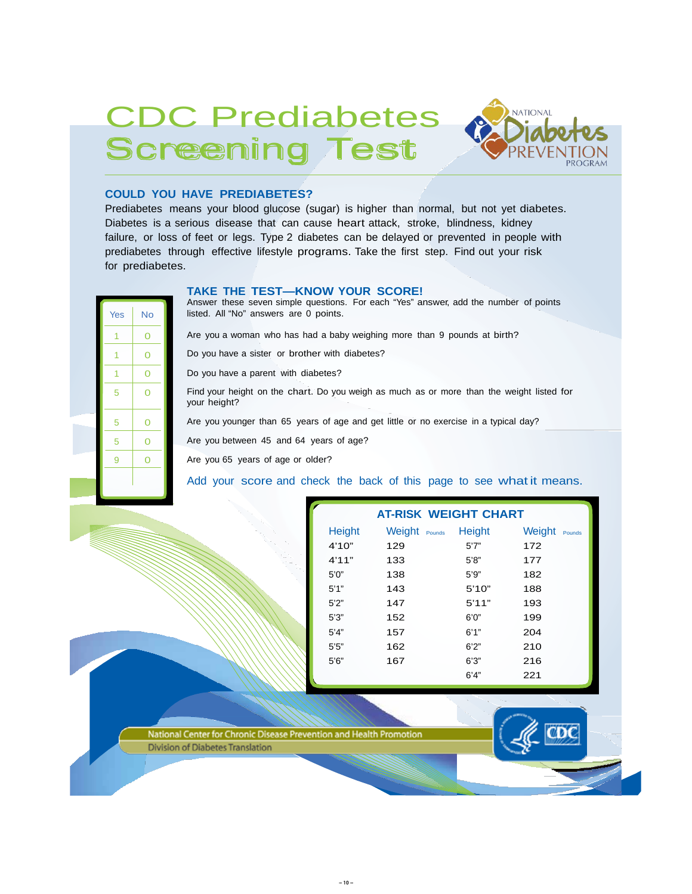# CDC Prediabetes Screening Test



## **COULD YOU HAVE PREDIABETES?**

Prediabetes means your blood glucose (sugar) is higher than normal, but not yet diabetes. Diabetes is a serious disease that  $\alpha$  cause heart attack, stroke, blindness, kidney failure, or loss of feet or legs. Type 2 diabetes can be delayed or prevented in people with prediabetes through effective lifestyle programs. Take the first step. Find out your risk for prediabetes.

## **TAKE THE TEST—KNOW YOUR SCORE!**

Answer these seven simple questions. For each "Yes" answer, add the number of points listed. All "No" answers are 0 points.

Are you a woman who has had a baby weighing more than 9 pounds at birth?

Do you have a sister or brother with diabetes?

Do you have a parent with diabetes?

Find your height on the chart. Do you weigh as much as or more than the weight listed for your height?

Are you younger than 65 years of age and get little or no exercise in a typical day?

Are you between 45 and 64 years of age?

Are you 65 years of age or older?

Add your score and check the back of this page to see what it means.

| <b>AT-RISK WEIGHT CHART</b> |               |        |                  |
|-----------------------------|---------------|--------|------------------|
| Height                      | Weight Pounds | Height | Weight<br>Pounds |
| 4'10"                       | 129           | 5'7''  | 172              |
| 4'11"                       | 133           | 5'8"   | 177              |
| 5'0''                       | 138           | 5'9''  | 182              |
| 5'1''                       | 143           | 5'10"  | 188              |
| 5'2"                        | 147           | 5'11"  | 193              |
| 5'3''                       | 152           | 6'0''  | 199              |
| 5'4"                        | 157           | 6'1''  | 204              |
| 5'5''                       | 162           | 6'2"   | 210              |
| 5'6''                       | 167           | 6'3''  | 216              |
|                             |               | 6'4"   | 221              |

National Center for Chronic Disease Prevention and Health Promotion

**Division of Diabetes Translation**